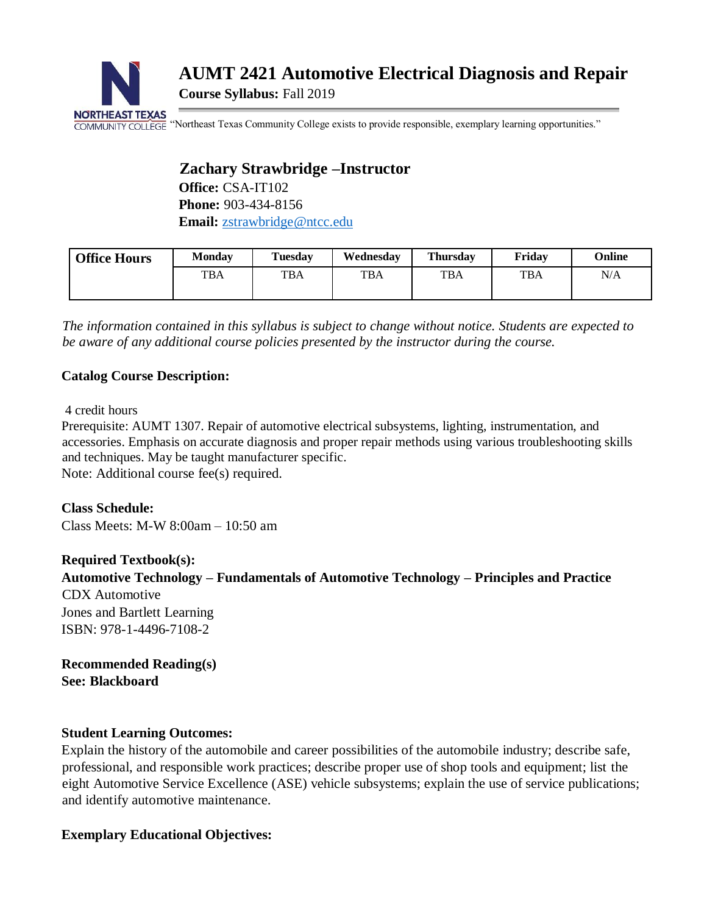

# **AUMT 2421 Automotive Electrical Diagnosis and Repair Course Syllabus:** Fall 2019

COMMUNITY COLLEGE "Northeast Texas Community College exists to provide responsible, exemplary learning opportunities."

## **Zachary Strawbridge –Instructor**

**Office:** CSA-IT102 **Phone:** 903-434-8156 **Email:** [zstrawbridge@ntcc.edu](mailto:zstrawbridge@ntcc.edu)

| <b>Office Hours</b> | Mondav     | Tuesday    | Wednesdav  | <b>Thursday</b> | Fridav     | Online |
|---------------------|------------|------------|------------|-----------------|------------|--------|
|                     | <b>TBA</b> | <b>TBA</b> | <b>TBA</b> | <b>TBA</b>      | <b>TBA</b> | N/A    |

*The information contained in this syllabus is subject to change without notice. Students are expected to be aware of any additional course policies presented by the instructor during the course.* 

## **Catalog Course Description:**

4 credit hours

Prerequisite: AUMT 1307. Repair of automotive electrical subsystems, lighting, instrumentation, and accessories. Emphasis on accurate diagnosis and proper repair methods using various troubleshooting skills and techniques. May be taught manufacturer specific.

Note: Additional course fee(s) required.

**Class Schedule:** Class Meets: M-W 8:00am – 10:50 am

**Required Textbook(s): Automotive Technology – Fundamentals of Automotive Technology – Principles and Practice**  CDX Automotive Jones and Bartlett Learning ISBN: 978-1-4496-7108-2

**Recommended Reading(s) See: Blackboard**

## **Student Learning Outcomes:**

Explain the history of the automobile and career possibilities of the automobile industry; describe safe, professional, and responsible work practices; describe proper use of shop tools and equipment; list the eight Automotive Service Excellence (ASE) vehicle subsystems; explain the use of service publications; and identify automotive maintenance.

## **Exemplary Educational Objectives:**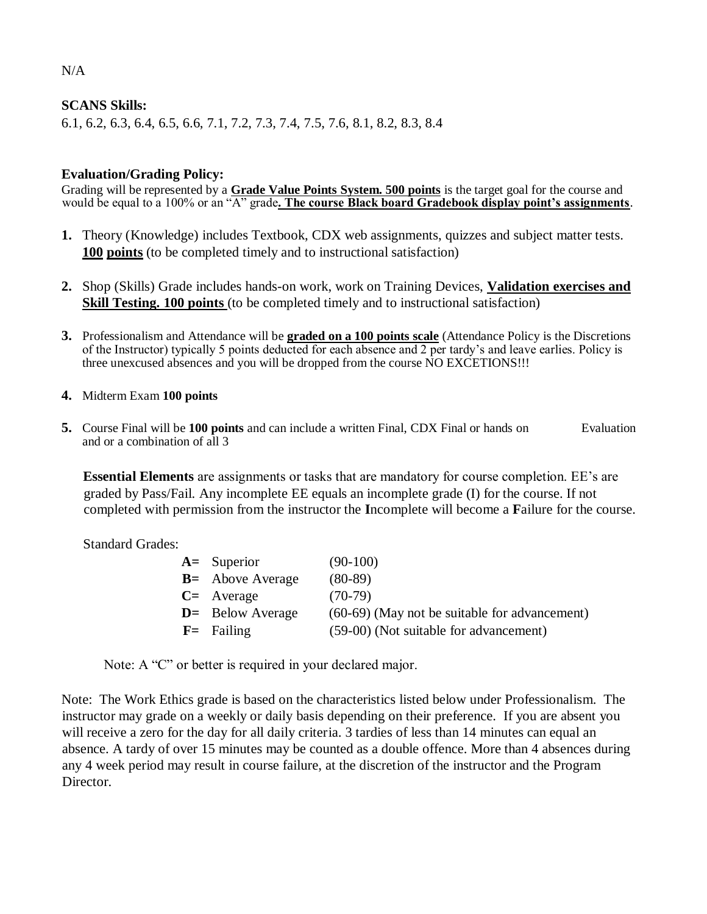#### **SCANS Skills:**

6.1, 6.2, 6.3, 6.4, 6.5, 6.6, 7.1, 7.2, 7.3, 7.4, 7.5, 7.6, 8.1, 8.2, 8.3, 8.4

#### **Evaluation/Grading Policy:**

Grading will be represented by a **Grade Value Points System. 500 points** is the target goal for the course and would be equal to a 100% or an "A" grade**. The course Black board Gradebook display point's assignments**.

- **1.** Theory (Knowledge) includes Textbook, CDX web assignments, quizzes and subject matter tests. **100 points** (to be completed timely and to instructional satisfaction)
- **2.** Shop (Skills) Grade includes hands-on work, work on Training Devices, **Validation exercises and Skill Testing. 100 points** (to be completed timely and to instructional satisfaction)
- **3.** Professionalism and Attendance will be **graded on a 100 points scale** (Attendance Policy is the Discretions of the Instructor) typically 5 points deducted for each absence and 2 per tardy's and leave earlies. Policy is three unexcused absences and you will be dropped from the course NO EXCETIONS!!!
- **4.** Midterm Exam **100 points**
- **5.** Course Final will be **100 points** and can include a written Final, CDX Final or hands on Evaluation and or a combination of all 3

**Essential Elements** are assignments or tasks that are mandatory for course completion. EE's are graded by Pass/Fail. Any incomplete EE equals an incomplete grade (I) for the course. If not completed with permission from the instructor the **I**ncomplete will become a **F**ailure for the course.

Standard Grades:

| $A=$ Superior       | $(90-100)$                                      |
|---------------------|-------------------------------------------------|
| $B =$ Above Average | $(80-89)$                                       |
| $C=$ Average        | $(70-79)$                                       |
| $D =$ Below Average | $(60-69)$ (May not be suitable for advancement) |
| $F =$ Failing       | (59-00) (Not suitable for advancement)          |

Note: A "C" or better is required in your declared major.

Note: The Work Ethics grade is based on the characteristics listed below under Professionalism. The instructor may grade on a weekly or daily basis depending on their preference. If you are absent you will receive a zero for the day for all daily criteria. 3 tardies of less than 14 minutes can equal an absence. A tardy of over 15 minutes may be counted as a double offence. More than 4 absences during any 4 week period may result in course failure, at the discretion of the instructor and the Program Director.

 $N/A$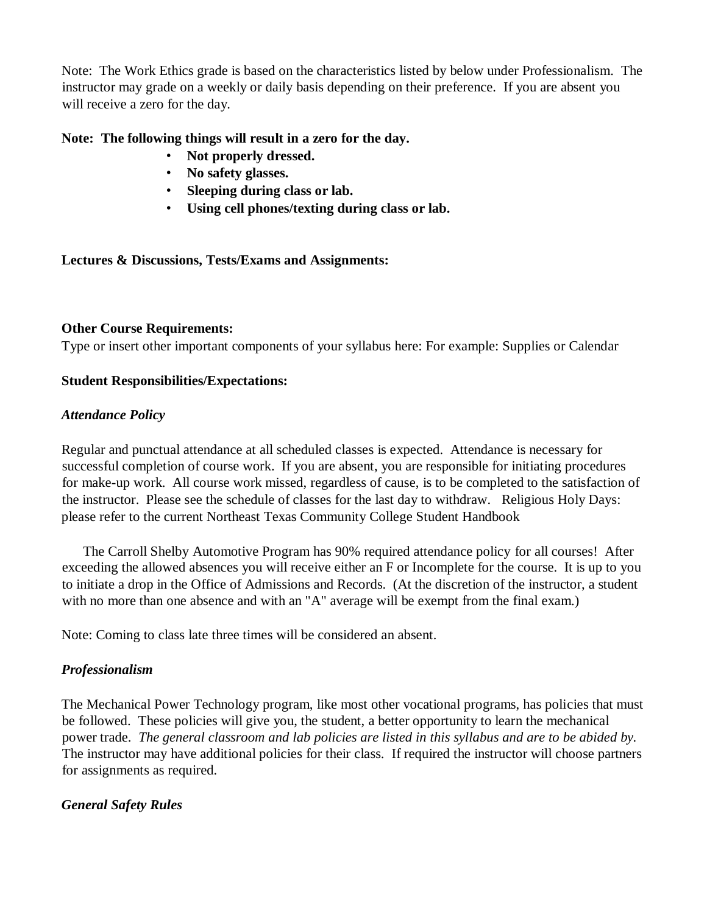Note: The Work Ethics grade is based on the characteristics listed by below under Professionalism. The instructor may grade on a weekly or daily basis depending on their preference. If you are absent you will receive a zero for the day.

### **Note: The following things will result in a zero for the day.**

- **Not properly dressed.**
- **No safety glasses.**
- **Sleeping during class or lab.**
- **Using cell phones/texting during class or lab.**

## **Lectures & Discussions, Tests/Exams and Assignments:**

#### **Other Course Requirements:**

Type or insert other important components of your syllabus here: For example: Supplies or Calendar

#### **Student Responsibilities/Expectations:**

#### *Attendance Policy*

Regular and punctual attendance at all scheduled classes is expected. Attendance is necessary for successful completion of course work. If you are absent, you are responsible for initiating procedures for make-up work. All course work missed, regardless of cause, is to be completed to the satisfaction of the instructor. Please see the schedule of classes for the last day to withdraw. Religious Holy Days: please refer to the current Northeast Texas Community College Student Handbook

The Carroll Shelby Automotive Program has 90% required attendance policy for all courses! After exceeding the allowed absences you will receive either an F or Incomplete for the course. It is up to you to initiate a drop in the Office of Admissions and Records. (At the discretion of the instructor, a student with no more than one absence and with an "A" average will be exempt from the final exam.)

Note: Coming to class late three times will be considered an absent.

## *Professionalism*

The Mechanical Power Technology program, like most other vocational programs, has policies that must be followed. These policies will give you, the student, a better opportunity to learn the mechanical power trade. *The general classroom and lab policies are listed in this syllabus and are to be abided by.*  The instructor may have additional policies for their class. If required the instructor will choose partners for assignments as required.

#### *General Safety Rules*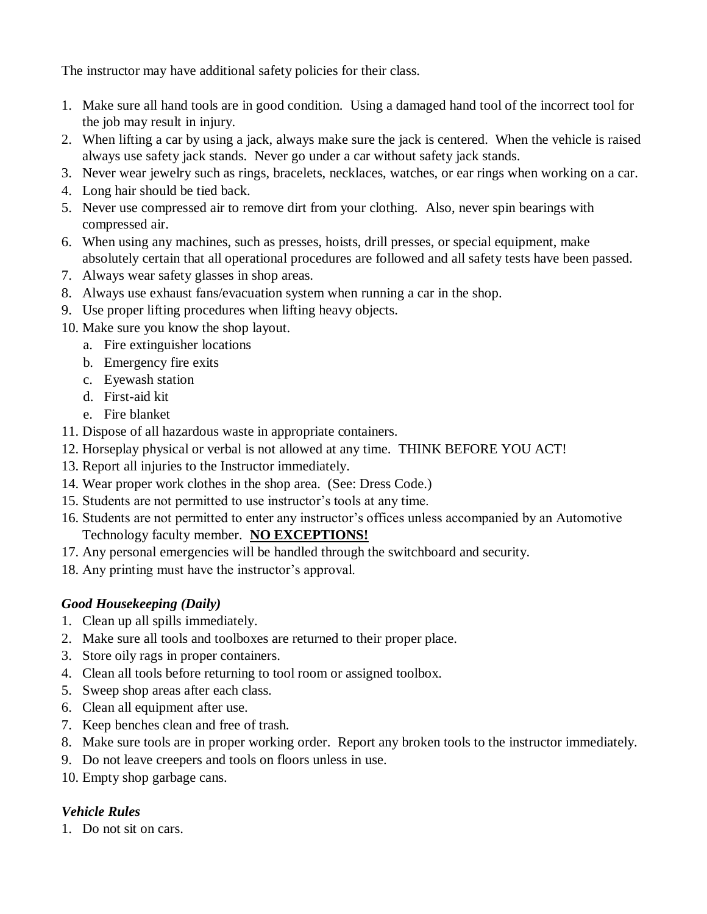The instructor may have additional safety policies for their class.

- 1. Make sure all hand tools are in good condition. Using a damaged hand tool of the incorrect tool for the job may result in injury.
- 2. When lifting a car by using a jack, always make sure the jack is centered. When the vehicle is raised always use safety jack stands. Never go under a car without safety jack stands.
- 3. Never wear jewelry such as rings, bracelets, necklaces, watches, or ear rings when working on a car.
- 4. Long hair should be tied back.
- 5. Never use compressed air to remove dirt from your clothing. Also, never spin bearings with compressed air.
- 6. When using any machines, such as presses, hoists, drill presses, or special equipment, make absolutely certain that all operational procedures are followed and all safety tests have been passed.
- 7. Always wear safety glasses in shop areas.
- 8. Always use exhaust fans/evacuation system when running a car in the shop.
- 9. Use proper lifting procedures when lifting heavy objects.
- 10. Make sure you know the shop layout.
	- a. Fire extinguisher locations
	- b. Emergency fire exits
	- c. Eyewash station
	- d. First-aid kit
	- e. Fire blanket
- 11. Dispose of all hazardous waste in appropriate containers.
- 12. Horseplay physical or verbal is not allowed at any time. THINK BEFORE YOU ACT!
- 13. Report all injuries to the Instructor immediately.
- 14. Wear proper work clothes in the shop area. (See: Dress Code.)
- 15. Students are not permitted to use instructor's tools at any time.
- 16. Students are not permitted to enter any instructor's offices unless accompanied by an Automotive Technology faculty member. **NO EXCEPTIONS!**
- 17. Any personal emergencies will be handled through the switchboard and security.
- 18. Any printing must have the instructor's approval.

## *Good Housekeeping (Daily)*

- 1. Clean up all spills immediately.
- 2. Make sure all tools and toolboxes are returned to their proper place.
- 3. Store oily rags in proper containers.
- 4. Clean all tools before returning to tool room or assigned toolbox.
- 5. Sweep shop areas after each class.
- 6. Clean all equipment after use.
- 7. Keep benches clean and free of trash.
- 8. Make sure tools are in proper working order. Report any broken tools to the instructor immediately.
- 9. Do not leave creepers and tools on floors unless in use.
- 10. Empty shop garbage cans.

## *Vehicle Rules*

1. Do not sit on cars.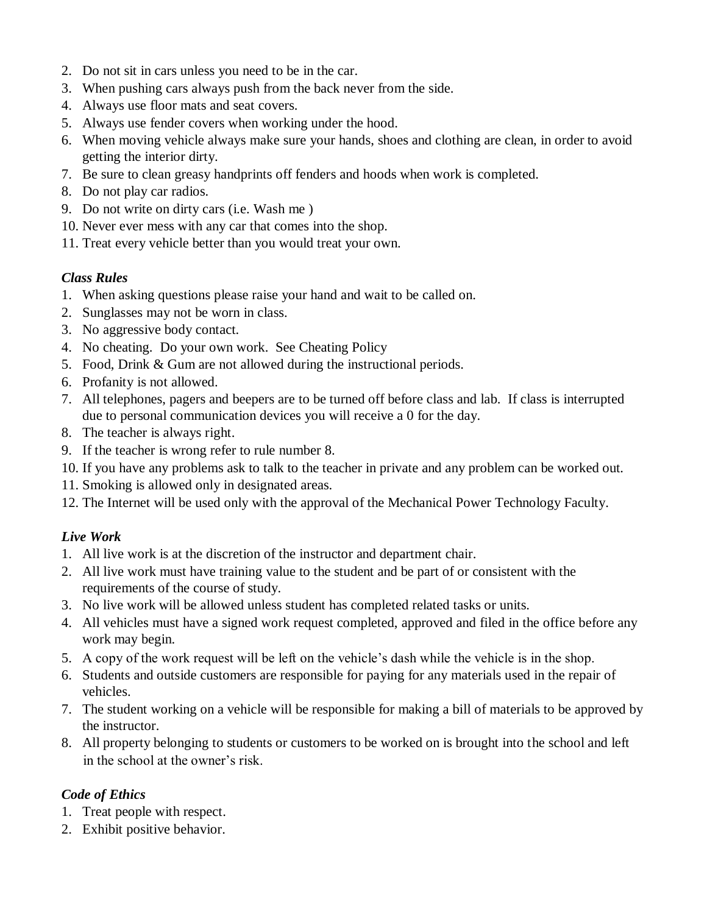- 2. Do not sit in cars unless you need to be in the car.
- 3. When pushing cars always push from the back never from the side.
- 4. Always use floor mats and seat covers.
- 5. Always use fender covers when working under the hood.
- 6. When moving vehicle always make sure your hands, shoes and clothing are clean, in order to avoid getting the interior dirty.
- 7. Be sure to clean greasy handprints off fenders and hoods when work is completed.
- 8. Do not play car radios.
- 9. Do not write on dirty cars (i.e. Wash me )
- 10. Never ever mess with any car that comes into the shop.
- 11. Treat every vehicle better than you would treat your own.

#### *Class Rules*

- 1. When asking questions please raise your hand and wait to be called on.
- 2. Sunglasses may not be worn in class.
- 3. No aggressive body contact.
- 4. No cheating. Do your own work. See Cheating Policy
- 5. Food, Drink & Gum are not allowed during the instructional periods.
- 6. Profanity is not allowed.
- 7. All telephones, pagers and beepers are to be turned off before class and lab. If class is interrupted due to personal communication devices you will receive a 0 for the day.
- 8. The teacher is always right.
- 9. If the teacher is wrong refer to rule number 8.
- 10. If you have any problems ask to talk to the teacher in private and any problem can be worked out.
- 11. Smoking is allowed only in designated areas.
- 12. The Internet will be used only with the approval of the Mechanical Power Technology Faculty.

## *Live Work*

- 1. All live work is at the discretion of the instructor and department chair.
- 2. All live work must have training value to the student and be part of or consistent with the requirements of the course of study.
- 3. No live work will be allowed unless student has completed related tasks or units.
- 4. All vehicles must have a signed work request completed, approved and filed in the office before any work may begin.
- 5. A copy of the work request will be left on the vehicle's dash while the vehicle is in the shop.
- 6. Students and outside customers are responsible for paying for any materials used in the repair of vehicles.
- 7. The student working on a vehicle will be responsible for making a bill of materials to be approved by the instructor.
- 8. All property belonging to students or customers to be worked on is brought into the school and left in the school at the owner's risk.

## *Code of Ethics*

- 1. Treat people with respect.
- 2. Exhibit positive behavior.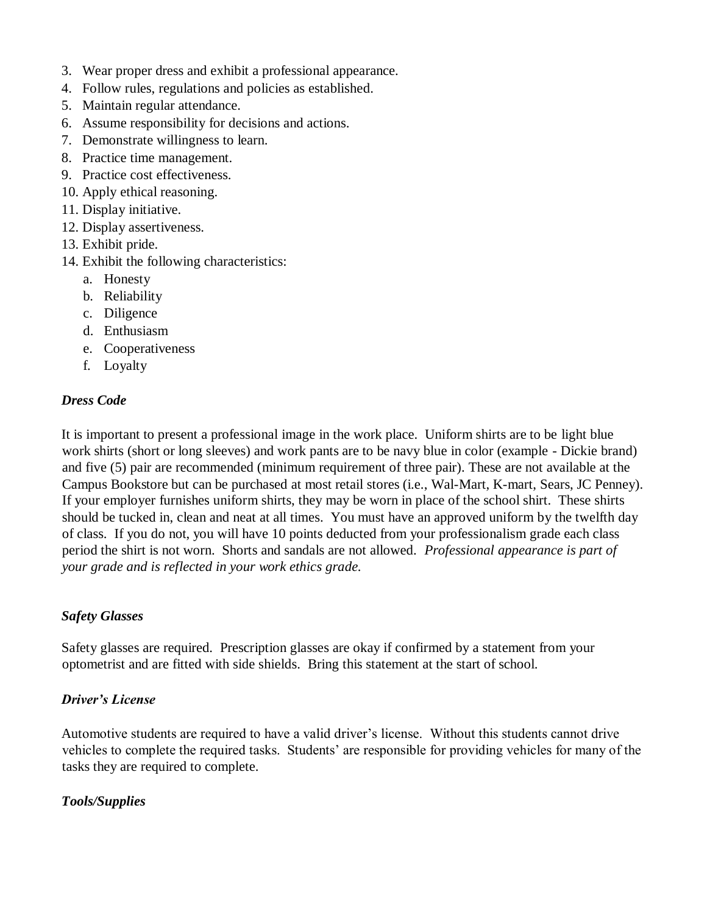- 3. Wear proper dress and exhibit a professional appearance.
- 4. Follow rules, regulations and policies as established.
- 5. Maintain regular attendance.
- 6. Assume responsibility for decisions and actions.
- 7. Demonstrate willingness to learn.
- 8. Practice time management.
- 9. Practice cost effectiveness.
- 10. Apply ethical reasoning.
- 11. Display initiative.
- 12. Display assertiveness.
- 13. Exhibit pride.
- 14. Exhibit the following characteristics:
	- a. Honesty
	- b. Reliability
	- c. Diligence
	- d. Enthusiasm
	- e. Cooperativeness
	- f. Loyalty

#### *Dress Code*

It is important to present a professional image in the work place. Uniform shirts are to be light blue work shirts (short or long sleeves) and work pants are to be navy blue in color (example - Dickie brand) and five (5) pair are recommended (minimum requirement of three pair). These are not available at the Campus Bookstore but can be purchased at most retail stores (i.e., Wal-Mart, K-mart, Sears, JC Penney). If your employer furnishes uniform shirts, they may be worn in place of the school shirt. These shirts should be tucked in, clean and neat at all times. You must have an approved uniform by the twelfth day of class. If you do not, you will have 10 points deducted from your professionalism grade each class period the shirt is not worn. Shorts and sandals are not allowed. *Professional appearance is part of your grade and is reflected in your work ethics grade.*

## *Safety Glasses*

Safety glasses are required. Prescription glasses are okay if confirmed by a statement from your optometrist and are fitted with side shields. Bring this statement at the start of school.

## *Driver's License*

Automotive students are required to have a valid driver's license. Without this students cannot drive vehicles to complete the required tasks. Students' are responsible for providing vehicles for many of the tasks they are required to complete.

## *Tools/Supplies*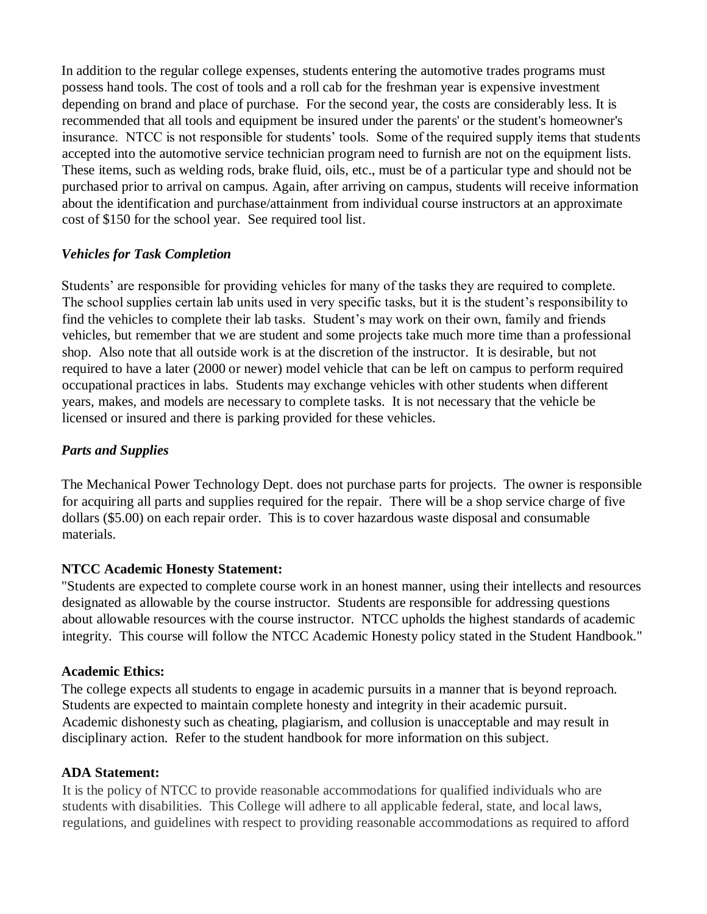In addition to the regular college expenses, students entering the automotive trades programs must possess hand tools. The cost of tools and a roll cab for the freshman year is expensive investment depending on brand and place of purchase. For the second year, the costs are considerably less. It is recommended that all tools and equipment be insured under the parents' or the student's homeowner's insurance. NTCC is not responsible for students' tools. Some of the required supply items that students accepted into the automotive service technician program need to furnish are not on the equipment lists. These items, such as welding rods, brake fluid, oils, etc., must be of a particular type and should not be purchased prior to arrival on campus. Again, after arriving on campus, students will receive information about the identification and purchase/attainment from individual course instructors at an approximate cost of \$150 for the school year. See required tool list.

## *Vehicles for Task Completion*

Students' are responsible for providing vehicles for many of the tasks they are required to complete. The school supplies certain lab units used in very specific tasks, but it is the student's responsibility to find the vehicles to complete their lab tasks. Student's may work on their own, family and friends vehicles, but remember that we are student and some projects take much more time than a professional shop. Also note that all outside work is at the discretion of the instructor. It is desirable, but not required to have a later (2000 or newer) model vehicle that can be left on campus to perform required occupational practices in labs. Students may exchange vehicles with other students when different years, makes, and models are necessary to complete tasks. It is not necessary that the vehicle be licensed or insured and there is parking provided for these vehicles.

## *Parts and Supplies*

The Mechanical Power Technology Dept. does not purchase parts for projects. The owner is responsible for acquiring all parts and supplies required for the repair. There will be a shop service charge of five dollars (\$5.00) on each repair order. This is to cover hazardous waste disposal and consumable materials.

#### **NTCC Academic Honesty Statement:**

"Students are expected to complete course work in an honest manner, using their intellects and resources designated as allowable by the course instructor. Students are responsible for addressing questions about allowable resources with the course instructor. NTCC upholds the highest standards of academic integrity. This course will follow the NTCC Academic Honesty policy stated in the Student Handbook."

#### **Academic Ethics:**

The college expects all students to engage in academic pursuits in a manner that is beyond reproach. Students are expected to maintain complete honesty and integrity in their academic pursuit. Academic dishonesty such as cheating, plagiarism, and collusion is unacceptable and may result in disciplinary action. Refer to the student handbook for more information on this subject.

#### **ADA Statement:**

It is the policy of NTCC to provide reasonable accommodations for qualified individuals who are students with disabilities. This College will adhere to all applicable federal, state, and local laws, regulations, and guidelines with respect to providing reasonable accommodations as required to afford